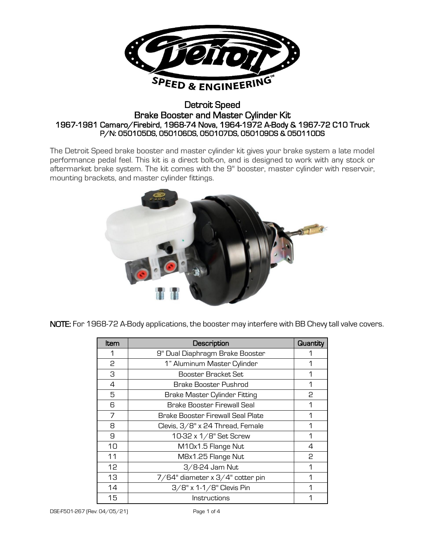

## Detroit Speed Brake Booster and Master Cylinder Kit 1967-1981 Camaro/Firebird, 1968-74 Nova, 1964-1972 A-Body & 1967-72 C10 Truck P/N: 050105DS, 050106DS, 050107DS, 050109DS & 050110DS

The Detroit Speed brake booster and master cylinder kit gives your brake system a late model performance pedal feel. This kit is a direct bolt-on, and is designed to work with any stock or aftermarket brake system. The kit comes with the 9" booster, master cylinder with reservoir, mounting brackets, and master cylinder fittings.



NOTE: For 1968-72 A-Body applications, the booster may interfere with BB Chevy tall valve covers.

| ltem | Description                       | Quantity |
|------|-----------------------------------|----------|
| 1    | 9" Dual Diaphragm Brake Booster   |          |
| 2    | 1" Aluminum Master Cylinder       | 1        |
| З    | Booster Bracket Set               | 1        |
| 4    | <b>Brake Booster Pushrod</b>      | 1        |
| 5    | Brake Master Cylinder Fitting     | P        |
| 6    | Brake Booster Firewall Seal       | 1        |
| 7    | Brake Booster Firewall Seal Plate | 1        |
| 8    | Clevis, 3/8" x 24 Thread, Female  | 1        |
| 9    | 10-32 x 1/8" Set Screw            | 1        |
| 10   | M10x1.5 Flange Nut                | 4        |
| 11   | M8x1.25 Flange Nut                | 2        |
| 12   | 3/8-24 Jam Nut                    | 1        |
| 13   | 7/64" diameter x 3/4" cotter pin  | 1        |
| 14   | $3/8$ " x 1-1/8" Clevis Pin       | 1        |
| 15   | Instructions                      | 1        |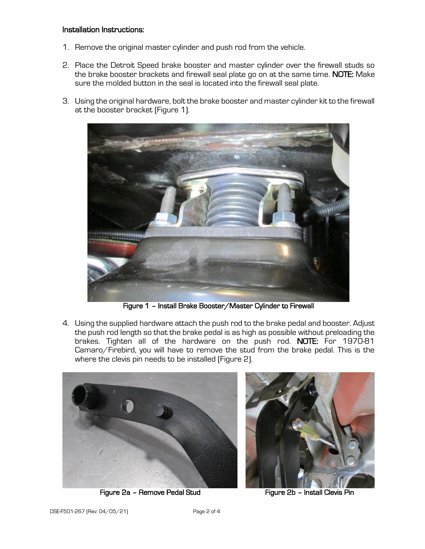## Installation Instructions:

- 1. Remove the original master cylinder and push rod from the vehicle.
- 2. Place the Detroit Speed brake booster and master cylinder over the firewall studs so the brake booster brackets and firewall seal plate go on at the same time. NOTE: Make sure the molded button in the seal is located into the firewall seal plate.
- 3. Using the original hardware, bolt the brake booster and master cylinder kit to the firewall at the booster bracket (Figure 1).



Figure 1 – Install Brake Booster/Master Cylinder to Firewall

4. Using the supplied hardware attach the push rod to the brake pedal and booster. Adjust the push rod length so that the brake pedal is as high as possible without preloading the brakes. Tighten all of the hardware on the push rod. NOTE: For 1970-81 Camaro/Firebird, you will have to remove the stud from the brake pedal. This is the where the clevis pin needs to be installed (Figure 2).



Figure 2a – Remove Pedal Stud Figure 2b – Install Clevis Pin



 $\parallel$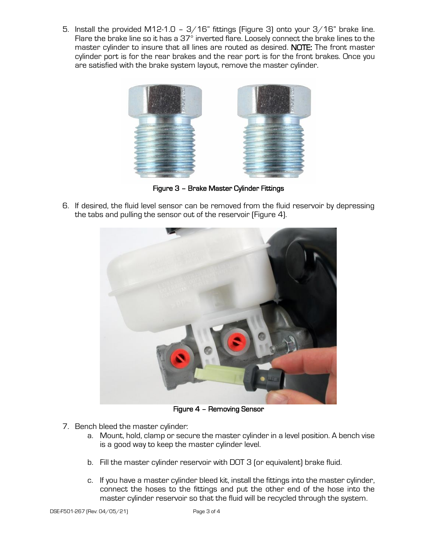5. Install the provided M12-1.0 -  $3/16$ " fittings (Figure 3) onto your  $3/16$ " brake line. Flare the brake line so it has a 37° inverted flare. Loosely connect the brake lines to the master cylinder to insure that all lines are routed as desired. NOTE: The front master cylinder port is for the rear brakes and the rear port is for the front brakes. Once you are satisfied with the brake system layout, remove the master cylinder.



Figure 3 – Brake Master Cylinder Fittings

6. If desired, the fluid level sensor can be removed from the fluid reservoir by depressing the tabs and pulling the sensor out of the reservoir (Figure 4).



Figure 4 – Removing Sensor

- 7. Bench bleed the master cylinder:
	- a. Mount, hold, clamp or secure the master cylinder in a level position. A bench vise is a good way to keep the master cylinder level.
	- b. Fill the master cylinder reservoir with DOT 3 (or equivalent) brake fluid.
	- c. If you have a master cylinder bleed kit, install the fittings into the master cylinder, connect the hoses to the fittings and put the other end of the hose into the master cylinder reservoir so that the fluid will be recycled through the system.